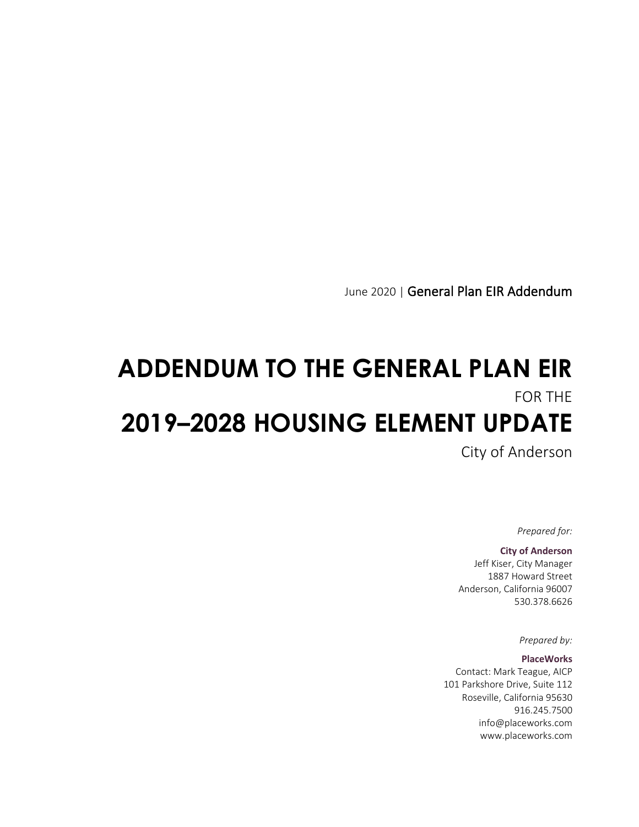June 2020 | General Plan EIR Addendum

# **ADDENDUM TO THE GENERAL PLAN EIR** FOR THE **2019–2028 HOUSING ELEMENT UPDATE**

City of Anderson

*Prepared for:*

#### **City of Anderson**

Jeff Kiser, City Manager 1887 Howard Street Anderson, California 96007 530.378.6626

*Prepared by:*

#### **PlaceWorks**

Contact: Mark Teague, AICP 101 Parkshore Drive, Suite 112 Roseville, California 95630 916.245.7500 info@placeworks.com www.placeworks.com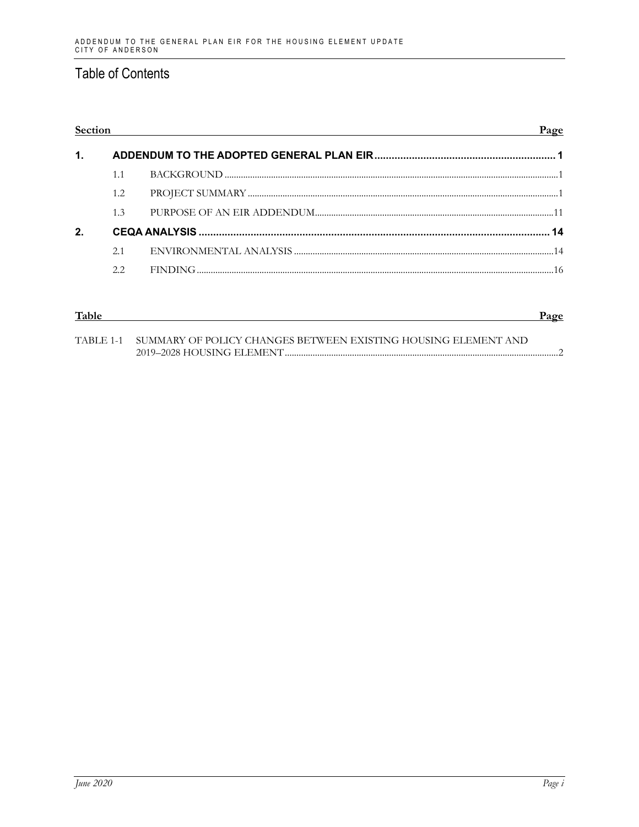### **Table of Contents**

| Section        |     | <u>and the state of the state of the state of the state of the state of the state of the state of the state of the state of the state of the state of the state of the state of the state of the state of the state of the state</u> | Page |
|----------------|-----|--------------------------------------------------------------------------------------------------------------------------------------------------------------------------------------------------------------------------------------|------|
| $\mathbf{1}$ . |     |                                                                                                                                                                                                                                      |      |
|                |     |                                                                                                                                                                                                                                      |      |
|                | 1.2 |                                                                                                                                                                                                                                      |      |
|                | 1.3 |                                                                                                                                                                                                                                      |      |
| 2.             |     |                                                                                                                                                                                                                                      |      |
|                | 2.1 |                                                                                                                                                                                                                                      |      |
|                | 22  |                                                                                                                                                                                                                                      |      |

Page

| TABLE 1-1 SUMMARY OF POLICY CHANGES BETWEEN EXISTING HOUSING ELEMENT AND |
|--------------------------------------------------------------------------|
| 2019–2028 HOUSING ELEMENT.                                               |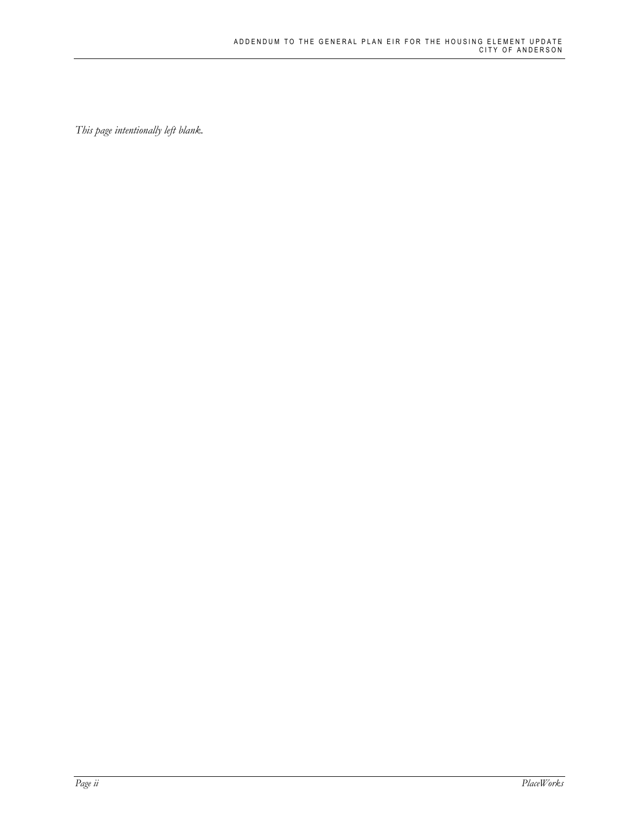*This page intentionally left blank.*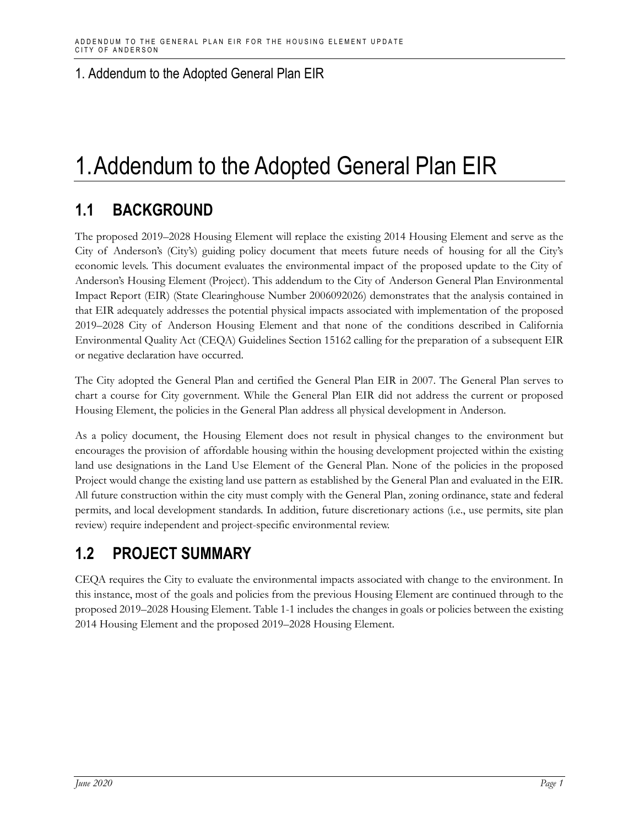# 1.Addendum to the Adopted General Plan EIR

# **1.1 BACKGROUND**

The proposed 2019–2028 Housing Element will replace the existing 2014 Housing Element and serve as the City of Anderson's (City's) guiding policy document that meets future needs of housing for all the City's economic levels. This document evaluates the environmental impact of the proposed update to the City of Anderson's Housing Element (Project). This addendum to the City of Anderson General Plan Environmental Impact Report (EIR) (State Clearinghouse Number 2006092026) demonstrates that the analysis contained in that EIR adequately addresses the potential physical impacts associated with implementation of the proposed 2019–2028 City of Anderson Housing Element and that none of the conditions described in California Environmental Quality Act (CEQA) Guidelines Section 15162 calling for the preparation of a subsequent EIR or negative declaration have occurred.

The City adopted the General Plan and certified the General Plan EIR in 2007. The General Plan serves to chart a course for City government. While the General Plan EIR did not address the current or proposed Housing Element, the policies in the General Plan address all physical development in Anderson.

As a policy document, the Housing Element does not result in physical changes to the environment but encourages the provision of affordable housing within the housing development projected within the existing land use designations in the Land Use Element of the General Plan. None of the policies in the proposed Project would change the existing land use pattern as established by the General Plan and evaluated in the EIR. All future construction within the city must comply with the General Plan, zoning ordinance, state and federal permits, and local development standards. In addition, future discretionary actions (i.e., use permits, site plan review) require independent and project-specific environmental review.

# **1.2 PROJECT SUMMARY**

CEQA requires the City to evaluate the environmental impacts associated with change to the environment. In this instance, most of the goals and policies from the previous Housing Element are continued through to the proposed 2019–2028 Housing Element. Table 1-1 includes the changes in goals or policies between the existing 2014 Housing Element and the proposed 2019–2028 Housing Element.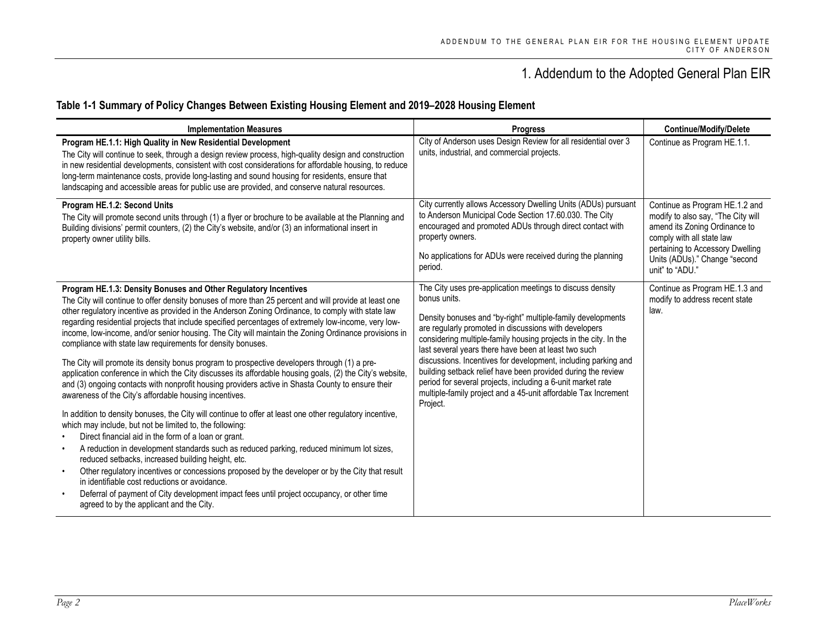#### **Table 1-1 Summary of Policy Changes Between Existing Housing Element and 2019–2028 Housing Element**

| <b>Implementation Measures</b>                                                                                                                                                                                                                                                                                                                                                                                                                                                                                                                                                                                                                                                                                                                                                                                                                                                                                                                                                                                                                                                                                                                                                                                                                                                                                                                                                                                                                                                                                                                                                                                         | <b>Progress</b>                                                                                                                                                                                                                                                                                                                                                                                                                                                                                                                                                                                              | <b>Continue/Modify/Delete</b>                                                                                                                                                                                              |
|------------------------------------------------------------------------------------------------------------------------------------------------------------------------------------------------------------------------------------------------------------------------------------------------------------------------------------------------------------------------------------------------------------------------------------------------------------------------------------------------------------------------------------------------------------------------------------------------------------------------------------------------------------------------------------------------------------------------------------------------------------------------------------------------------------------------------------------------------------------------------------------------------------------------------------------------------------------------------------------------------------------------------------------------------------------------------------------------------------------------------------------------------------------------------------------------------------------------------------------------------------------------------------------------------------------------------------------------------------------------------------------------------------------------------------------------------------------------------------------------------------------------------------------------------------------------------------------------------------------------|--------------------------------------------------------------------------------------------------------------------------------------------------------------------------------------------------------------------------------------------------------------------------------------------------------------------------------------------------------------------------------------------------------------------------------------------------------------------------------------------------------------------------------------------------------------------------------------------------------------|----------------------------------------------------------------------------------------------------------------------------------------------------------------------------------------------------------------------------|
| Program HE.1.1: High Quality in New Residential Development<br>The City will continue to seek, through a design review process, high-quality design and construction<br>in new residential developments, consistent with cost considerations for affordable housing, to reduce<br>long-term maintenance costs, provide long-lasting and sound housing for residents, ensure that<br>landscaping and accessible areas for public use are provided, and conserve natural resources.                                                                                                                                                                                                                                                                                                                                                                                                                                                                                                                                                                                                                                                                                                                                                                                                                                                                                                                                                                                                                                                                                                                                      | City of Anderson uses Design Review for all residential over 3<br>units, industrial, and commercial projects.                                                                                                                                                                                                                                                                                                                                                                                                                                                                                                | Continue as Program HE.1.1.                                                                                                                                                                                                |
| Program HE.1.2: Second Units<br>The City will promote second units through (1) a flyer or brochure to be available at the Planning and<br>Building divisions' permit counters, (2) the City's website, and/or (3) an informational insert in<br>property owner utility bills.                                                                                                                                                                                                                                                                                                                                                                                                                                                                                                                                                                                                                                                                                                                                                                                                                                                                                                                                                                                                                                                                                                                                                                                                                                                                                                                                          | City currently allows Accessory Dwelling Units (ADUs) pursuant<br>to Anderson Municipal Code Section 17.60.030. The City<br>encouraged and promoted ADUs through direct contact with<br>property owners.<br>No applications for ADUs were received during the planning<br>period.                                                                                                                                                                                                                                                                                                                            | Continue as Program HE.1.2 and<br>modify to also say, "The City will<br>amend its Zoning Ordinance to<br>comply with all state law<br>pertaining to Accessory Dwelling<br>Units (ADUs)." Change "second<br>unit" to "ADU." |
| Program HE.1.3: Density Bonuses and Other Regulatory Incentives<br>The City will continue to offer density bonuses of more than 25 percent and will provide at least one<br>other regulatory incentive as provided in the Anderson Zoning Ordinance, to comply with state law<br>regarding residential projects that include specified percentages of extremely low-income, very low-<br>income, low-income, and/or senior housing. The City will maintain the Zoning Ordinance provisions in<br>compliance with state law requirements for density bonuses.<br>The City will promote its density bonus program to prospective developers through (1) a pre-<br>application conference in which the City discusses its affordable housing goals, (2) the City's website,<br>and (3) ongoing contacts with nonprofit housing providers active in Shasta County to ensure their<br>awareness of the City's affordable housing incentives.<br>In addition to density bonuses, the City will continue to offer at least one other regulatory incentive,<br>which may include, but not be limited to, the following:<br>Direct financial aid in the form of a loan or grant.<br>A reduction in development standards such as reduced parking, reduced minimum lot sizes,<br>reduced setbacks, increased building height, etc.<br>Other regulatory incentives or concessions proposed by the developer or by the City that result<br>in identifiable cost reductions or avoidance.<br>Deferral of payment of City development impact fees until project occupancy, or other time<br>agreed to by the applicant and the City. | The City uses pre-application meetings to discuss density<br>bonus units.<br>Density bonuses and "by-right" multiple-family developments<br>are regularly promoted in discussions with developers<br>considering multiple-family housing projects in the city. In the<br>last several years there have been at least two such<br>discussions. Incentives for development, including parking and<br>building setback relief have been provided during the review<br>period for several projects, including a 6-unit market rate<br>multiple-family project and a 45-unit affordable Tax Increment<br>Project. | Continue as Program HE.1.3 and<br>modify to address recent state<br>law.                                                                                                                                                   |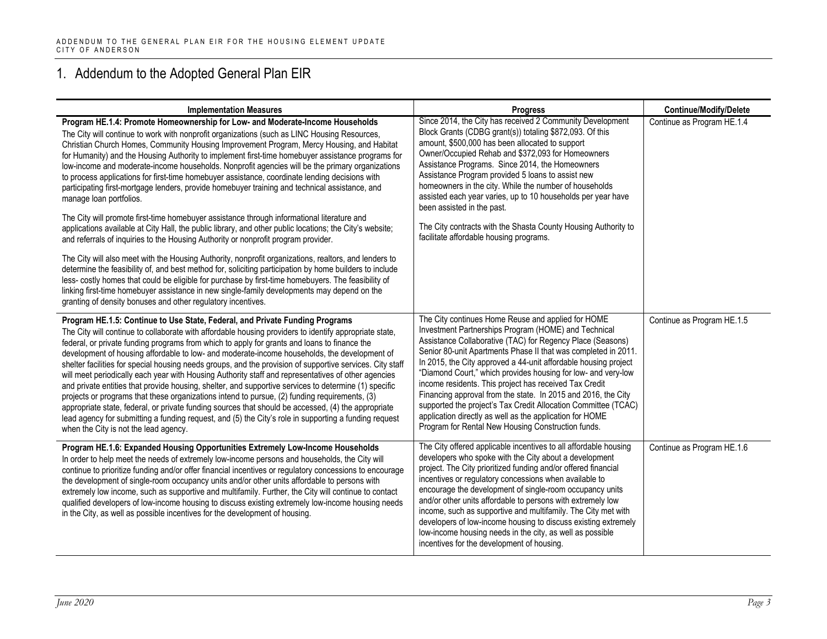| <b>Implementation Measures</b>                                                                                                                                                                                                                                                                                                                                                                                                                                                                                                                                                                                                                                                                                                                                                                                                                                                                                                                                                                                                                                                | <b>Progress</b>                                                                                                                                                                                                                                                                                                                                                                                                                                                                                                                                                                                                                                                                               | <b>Continue/Modify/Delete</b> |
|-------------------------------------------------------------------------------------------------------------------------------------------------------------------------------------------------------------------------------------------------------------------------------------------------------------------------------------------------------------------------------------------------------------------------------------------------------------------------------------------------------------------------------------------------------------------------------------------------------------------------------------------------------------------------------------------------------------------------------------------------------------------------------------------------------------------------------------------------------------------------------------------------------------------------------------------------------------------------------------------------------------------------------------------------------------------------------|-----------------------------------------------------------------------------------------------------------------------------------------------------------------------------------------------------------------------------------------------------------------------------------------------------------------------------------------------------------------------------------------------------------------------------------------------------------------------------------------------------------------------------------------------------------------------------------------------------------------------------------------------------------------------------------------------|-------------------------------|
| Program HE.1.4: Promote Homeownership for Low- and Moderate-Income Households<br>The City will continue to work with nonprofit organizations (such as LINC Housing Resources,<br>Christian Church Homes, Community Housing Improvement Program, Mercy Housing, and Habitat<br>for Humanity) and the Housing Authority to implement first-time homebuyer assistance programs for<br>low-income and moderate-income households. Nonprofit agencies will be the primary organizations<br>to process applications for first-time homebuyer assistance, coordinate lending decisions with<br>participating first-mortgage lenders, provide homebuyer training and technical assistance, and<br>manage loan portfolios.                                                                                                                                                                                                                                                                                                                                                             | Since 2014, the City has received 2 Community Development<br>Block Grants (CDBG grant(s)) totaling \$872,093. Of this<br>amount, \$500,000 has been allocated to support<br>Owner/Occupied Rehab and \$372,093 for Homeowners<br>Assistance Programs. Since 2014, the Homeowners<br>Assistance Program provided 5 loans to assist new<br>homeowners in the city. While the number of households<br>assisted each year varies, up to 10 households per year have<br>been assisted in the past.                                                                                                                                                                                                 | Continue as Program HE.1.4    |
| The City will promote first-time homebuyer assistance through informational literature and<br>applications available at City Hall, the public library, and other public locations; the City's website;<br>and referrals of inquiries to the Housing Authority or nonprofit program provider.                                                                                                                                                                                                                                                                                                                                                                                                                                                                                                                                                                                                                                                                                                                                                                                  | The City contracts with the Shasta County Housing Authority to<br>facilitate affordable housing programs.                                                                                                                                                                                                                                                                                                                                                                                                                                                                                                                                                                                     |                               |
| The City will also meet with the Housing Authority, nonprofit organizations, realtors, and lenders to<br>determine the feasibility of, and best method for, soliciting participation by home builders to include<br>less- costly homes that could be eligible for purchase by first-time homebuyers. The feasibility of<br>linking first-time homebuyer assistance in new single-family developments may depend on the<br>granting of density bonuses and other regulatory incentives.                                                                                                                                                                                                                                                                                                                                                                                                                                                                                                                                                                                        |                                                                                                                                                                                                                                                                                                                                                                                                                                                                                                                                                                                                                                                                                               |                               |
| Program HE.1.5: Continue to Use State, Federal, and Private Funding Programs<br>The City will continue to collaborate with affordable housing providers to identify appropriate state,<br>federal, or private funding programs from which to apply for grants and loans to finance the<br>development of housing affordable to low- and moderate-income households, the development of<br>shelter facilities for special housing needs groups, and the provision of supportive services. City staff<br>will meet periodically each year with Housing Authority staff and representatives of other agencies<br>and private entities that provide housing, shelter, and supportive services to determine (1) specific<br>projects or programs that these organizations intend to pursue, (2) funding requirements, (3)<br>appropriate state, federal, or private funding sources that should be accessed, (4) the appropriate<br>lead agency for submitting a funding request, and (5) the City's role in supporting a funding request<br>when the City is not the lead agency. | The City continues Home Reuse and applied for HOME<br>Investment Partnerships Program (HOME) and Technical<br>Assistance Collaborative (TAC) for Regency Place (Seasons)<br>Senior 80-unit Apartments Phase II that was completed in 2011.<br>In 2015, the City approved a 44-unit affordable housing project<br>"Diamond Court," which provides housing for low- and very-low<br>income residents. This project has received Tax Credit<br>Financing approval from the state. In 2015 and 2016, the City<br>supported the project's Tax Credit Allocation Committee (TCAC)<br>application directly as well as the application for HOME<br>Program for Rental New Housing Construction funds. | Continue as Program HE.1.5    |
| Program HE.1.6: Expanded Housing Opportunities Extremely Low-Income Households<br>In order to help meet the needs of extremely low-income persons and households, the City will<br>continue to prioritize funding and/or offer financial incentives or regulatory concessions to encourage<br>the development of single-room occupancy units and/or other units affordable to persons with<br>extremely low income, such as supportive and multifamily. Further, the City will continue to contact<br>qualified developers of low-income housing to discuss existing extremely low-income housing needs<br>in the City, as well as possible incentives for the development of housing.                                                                                                                                                                                                                                                                                                                                                                                        | The City offered applicable incentives to all affordable housing<br>developers who spoke with the City about a development<br>project. The City prioritized funding and/or offered financial<br>incentives or regulatory concessions when available to<br>encourage the development of single-room occupancy units<br>and/or other units affordable to persons with extremely low<br>income, such as supportive and multifamily. The City met with<br>developers of low-income housing to discuss existing extremely<br>low-income housing needs in the city, as well as possible<br>incentives for the development of housing.                                                               | Continue as Program HE.1.6    |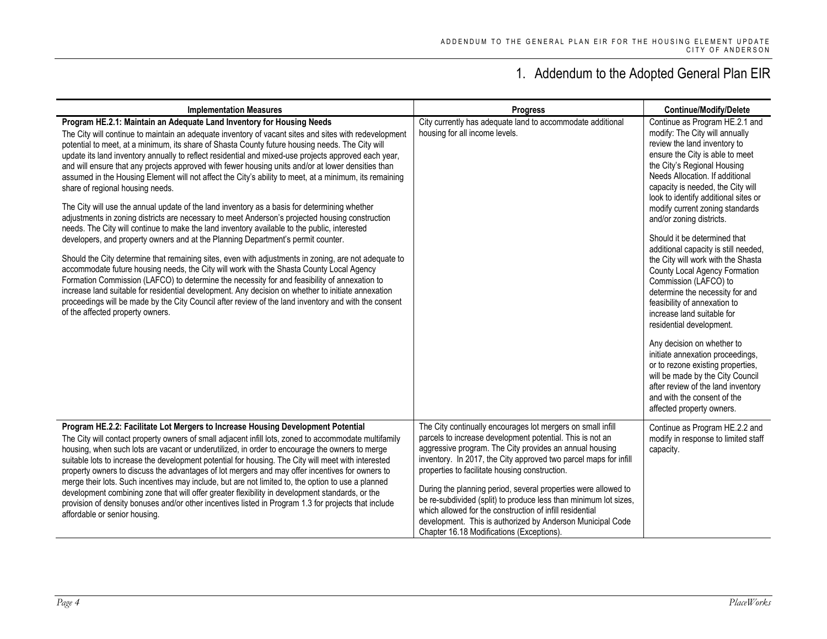| <b>Implementation Measures</b>                                                                                                                                                                                                                                                                                                                                                                                                                                                                                                                                                                                                                                                                                                                                                                                                                          | Progress                                                                                                                                                                                                                                                                                                                                                                                                                                                                                                                                                                                                               | <b>Continue/Modify/Delete</b>                                                                                                                                                                                                                                                      |
|---------------------------------------------------------------------------------------------------------------------------------------------------------------------------------------------------------------------------------------------------------------------------------------------------------------------------------------------------------------------------------------------------------------------------------------------------------------------------------------------------------------------------------------------------------------------------------------------------------------------------------------------------------------------------------------------------------------------------------------------------------------------------------------------------------------------------------------------------------|------------------------------------------------------------------------------------------------------------------------------------------------------------------------------------------------------------------------------------------------------------------------------------------------------------------------------------------------------------------------------------------------------------------------------------------------------------------------------------------------------------------------------------------------------------------------------------------------------------------------|------------------------------------------------------------------------------------------------------------------------------------------------------------------------------------------------------------------------------------------------------------------------------------|
| Program HE.2.1: Maintain an Adequate Land Inventory for Housing Needs<br>The City will continue to maintain an adequate inventory of vacant sites and sites with redevelopment<br>potential to meet, at a minimum, its share of Shasta County future housing needs. The City will<br>update its land inventory annually to reflect residential and mixed-use projects approved each year,<br>and will ensure that any projects approved with fewer housing units and/or at lower densities than<br>assumed in the Housing Element will not affect the City's ability to meet, at a minimum, its remaining<br>share of regional housing needs.                                                                                                                                                                                                           | City currently has adequate land to accommodate additional<br>housing for all income levels.                                                                                                                                                                                                                                                                                                                                                                                                                                                                                                                           | Continue as Program HE.2.1 and<br>modify: The City will annually<br>review the land inventory to<br>ensure the City is able to meet<br>the City's Regional Housing<br>Needs Allocation. If additional<br>capacity is needed, the City will<br>look to identify additional sites or |
| The City will use the annual update of the land inventory as a basis for determining whether<br>adjustments in zoning districts are necessary to meet Anderson's projected housing construction<br>needs. The City will continue to make the land inventory available to the public, interested<br>developers, and property owners and at the Planning Department's permit counter.                                                                                                                                                                                                                                                                                                                                                                                                                                                                     |                                                                                                                                                                                                                                                                                                                                                                                                                                                                                                                                                                                                                        | modify current zoning standards<br>and/or zoning districts.<br>Should it be determined that<br>additional capacity is still needed,                                                                                                                                                |
| Should the City determine that remaining sites, even with adjustments in zoning, are not adequate to<br>accommodate future housing needs, the City will work with the Shasta County Local Agency<br>Formation Commission (LAFCO) to determine the necessity for and feasibility of annexation to<br>increase land suitable for residential development. Any decision on whether to initiate annexation<br>proceedings will be made by the City Council after review of the land inventory and with the consent<br>of the affected property owners.                                                                                                                                                                                                                                                                                                      |                                                                                                                                                                                                                                                                                                                                                                                                                                                                                                                                                                                                                        | the City will work with the Shasta<br>County Local Agency Formation<br>Commission (LAFCO) to<br>determine the necessity for and<br>feasibility of annexation to<br>increase land suitable for<br>residential development.                                                          |
|                                                                                                                                                                                                                                                                                                                                                                                                                                                                                                                                                                                                                                                                                                                                                                                                                                                         |                                                                                                                                                                                                                                                                                                                                                                                                                                                                                                                                                                                                                        | Any decision on whether to<br>initiate annexation proceedings,<br>or to rezone existing properties,<br>will be made by the City Council<br>after review of the land inventory<br>and with the consent of the<br>affected property owners.                                          |
| Program HE.2.2: Facilitate Lot Mergers to Increase Housing Development Potential<br>The City will contact property owners of small adjacent infill lots, zoned to accommodate multifamily<br>housing, when such lots are vacant or underutilized, in order to encourage the owners to merge<br>suitable lots to increase the development potential for housing. The City will meet with interested<br>property owners to discuss the advantages of lot mergers and may offer incentives for owners to<br>merge their lots. Such incentives may include, but are not limited to, the option to use a planned<br>development combining zone that will offer greater flexibility in development standards, or the<br>provision of density bonuses and/or other incentives listed in Program 1.3 for projects that include<br>affordable or senior housing. | The City continually encourages lot mergers on small infill<br>parcels to increase development potential. This is not an<br>aggressive program. The City provides an annual housing<br>inventory. In 2017, the City approved two parcel maps for infill<br>properties to facilitate housing construction.<br>During the planning period, several properties were allowed to<br>be re-subdivided (split) to produce less than minimum lot sizes,<br>which allowed for the construction of infill residential<br>development. This is authorized by Anderson Municipal Code<br>Chapter 16.18 Modifications (Exceptions). | Continue as Program HE.2.2 and<br>modify in response to limited staff<br>capacity.                                                                                                                                                                                                 |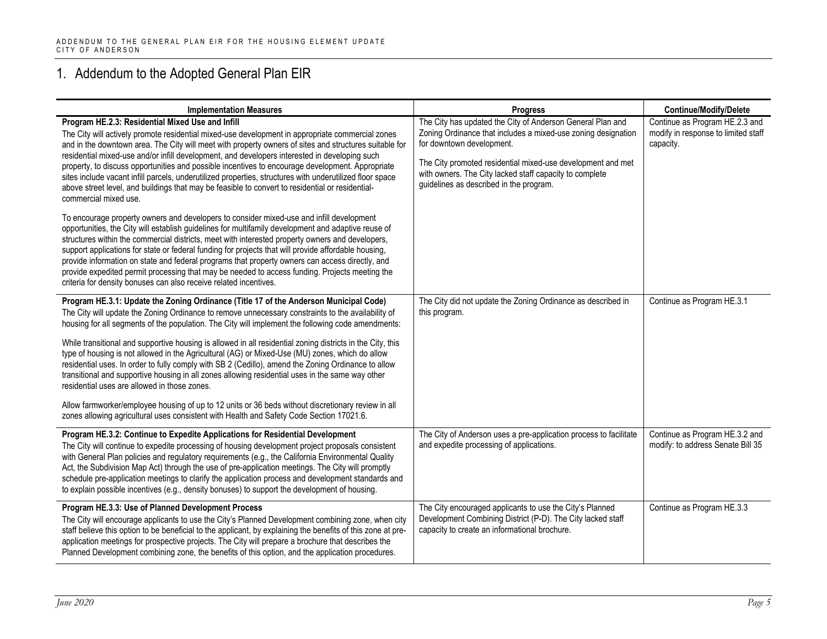| <b>Implementation Measures</b>                                                                                                                                                                                                                                                                                                                                                                                                                                                                                                                                                                                                                                                                               | <b>Progress</b>                                                                                                                                                                                                                                                                                                               | <b>Continue/Modify/Delete</b>                                                      |
|--------------------------------------------------------------------------------------------------------------------------------------------------------------------------------------------------------------------------------------------------------------------------------------------------------------------------------------------------------------------------------------------------------------------------------------------------------------------------------------------------------------------------------------------------------------------------------------------------------------------------------------------------------------------------------------------------------------|-------------------------------------------------------------------------------------------------------------------------------------------------------------------------------------------------------------------------------------------------------------------------------------------------------------------------------|------------------------------------------------------------------------------------|
| Program HE.2.3: Residential Mixed Use and Infill<br>The City will actively promote residential mixed-use development in appropriate commercial zones<br>and in the downtown area. The City will meet with property owners of sites and structures suitable for<br>residential mixed-use and/or infill development, and developers interested in developing such<br>property, to discuss opportunities and possible incentives to encourage development. Appropriate<br>sites include vacant infill parcels, underutilized properties, structures with underutilized floor space<br>above street level, and buildings that may be feasible to convert to residential or residential-<br>commercial mixed use. | The City has updated the City of Anderson General Plan and<br>Zoning Ordinance that includes a mixed-use zoning designation<br>for downtown development.<br>The City promoted residential mixed-use development and met<br>with owners. The City lacked staff capacity to complete<br>guidelines as described in the program. | Continue as Program HE.2.3 and<br>modify in response to limited staff<br>capacity. |
| To encourage property owners and developers to consider mixed-use and infill development<br>opportunities, the City will establish guidelines for multifamily development and adaptive reuse of<br>structures within the commercial districts, meet with interested property owners and developers,<br>support applications for state or federal funding for projects that will provide affordable housing,<br>provide information on state and federal programs that property owners can access directly, and<br>provide expedited permit processing that may be needed to access funding. Projects meeting the<br>criteria for density bonuses can also receive related incentives.                        |                                                                                                                                                                                                                                                                                                                               |                                                                                    |
| Program HE.3.1: Update the Zoning Ordinance (Title 17 of the Anderson Municipal Code)<br>The City will update the Zoning Ordinance to remove unnecessary constraints to the availability of<br>housing for all segments of the population. The City will implement the following code amendments:                                                                                                                                                                                                                                                                                                                                                                                                            | The City did not update the Zoning Ordinance as described in<br>this program.                                                                                                                                                                                                                                                 | Continue as Program HE.3.1                                                         |
| While transitional and supportive housing is allowed in all residential zoning districts in the City, this<br>type of housing is not allowed in the Agricultural (AG) or Mixed-Use (MU) zones, which do allow<br>residential uses. In order to fully comply with SB 2 (Cedillo), amend the Zoning Ordinance to allow<br>transitional and supportive housing in all zones allowing residential uses in the same way other<br>residential uses are allowed in those zones.                                                                                                                                                                                                                                     |                                                                                                                                                                                                                                                                                                                               |                                                                                    |
| Allow farmworker/employee housing of up to 12 units or 36 beds without discretionary review in all<br>zones allowing agricultural uses consistent with Health and Safety Code Section 17021.6.                                                                                                                                                                                                                                                                                                                                                                                                                                                                                                               |                                                                                                                                                                                                                                                                                                                               |                                                                                    |
| Program HE.3.2: Continue to Expedite Applications for Residential Development<br>The City will continue to expedite processing of housing development project proposals consistent<br>with General Plan policies and regulatory requirements (e.g., the California Environmental Quality<br>Act, the Subdivision Map Act) through the use of pre-application meetings. The City will promptly<br>schedule pre-application meetings to clarify the application process and development standards and<br>to explain possible incentives (e.g., density bonuses) to support the development of housing.                                                                                                         | The City of Anderson uses a pre-application process to facilitate<br>and expedite processing of applications.                                                                                                                                                                                                                 | Continue as Program HE.3.2 and<br>modify: to address Senate Bill 35                |
| Program HE.3.3: Use of Planned Development Process<br>The City will encourage applicants to use the City's Planned Development combining zone, when city<br>staff believe this option to be beneficial to the applicant, by explaining the benefits of this zone at pre-<br>application meetings for prospective projects. The City will prepare a brochure that describes the<br>Planned Development combining zone, the benefits of this option, and the application procedures.                                                                                                                                                                                                                           | The City encouraged applicants to use the City's Planned<br>Development Combining District (P-D). The City lacked staff<br>capacity to create an informational brochure.                                                                                                                                                      | Continue as Program HE.3.3                                                         |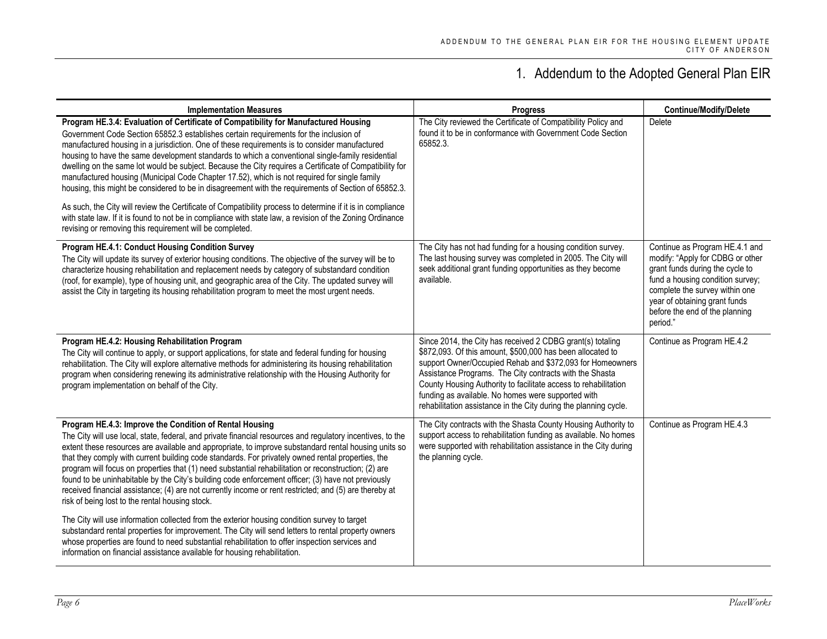| <b>Implementation Measures</b>                                                                                                                                                                                                                                                                                                                                                                                                                                                                                                                                                                                                                                                                                                                                | <b>Progress</b>                                                                                                                                                                                                                                                                                                                                                                                                                               | <b>Continue/Modify/Delete</b>                                                                                                                                                                                                                              |
|---------------------------------------------------------------------------------------------------------------------------------------------------------------------------------------------------------------------------------------------------------------------------------------------------------------------------------------------------------------------------------------------------------------------------------------------------------------------------------------------------------------------------------------------------------------------------------------------------------------------------------------------------------------------------------------------------------------------------------------------------------------|-----------------------------------------------------------------------------------------------------------------------------------------------------------------------------------------------------------------------------------------------------------------------------------------------------------------------------------------------------------------------------------------------------------------------------------------------|------------------------------------------------------------------------------------------------------------------------------------------------------------------------------------------------------------------------------------------------------------|
| Program HE.3.4: Evaluation of Certificate of Compatibility for Manufactured Housing<br>Government Code Section 65852.3 establishes certain requirements for the inclusion of<br>manufactured housing in a jurisdiction. One of these requirements is to consider manufactured<br>housing to have the same development standards to which a conventional single-family residential<br>dwelling on the same lot would be subject. Because the City requires a Certificate of Compatibility for<br>manufactured housing (Municipal Code Chapter 17.52), which is not required for single family<br>housing, this might be considered to be in disagreement with the requirements of Section of 65852.3.                                                          | The City reviewed the Certificate of Compatibility Policy and<br>found it to be in conformance with Government Code Section<br>65852.3.                                                                                                                                                                                                                                                                                                       | <b>Delete</b>                                                                                                                                                                                                                                              |
| As such, the City will review the Certificate of Compatibility process to determine if it is in compliance<br>with state law. If it is found to not be in compliance with state law, a revision of the Zoning Ordinance<br>revising or removing this requirement will be completed.                                                                                                                                                                                                                                                                                                                                                                                                                                                                           |                                                                                                                                                                                                                                                                                                                                                                                                                                               |                                                                                                                                                                                                                                                            |
| Program HE.4.1: Conduct Housing Condition Survey<br>The City will update its survey of exterior housing conditions. The objective of the survey will be to<br>characterize housing rehabilitation and replacement needs by category of substandard condition<br>(roof, for example), type of housing unit, and geographic area of the City. The updated survey will<br>assist the City in targeting its housing rehabilitation program to meet the most urgent needs.                                                                                                                                                                                                                                                                                         | The City has not had funding for a housing condition survey.<br>The last housing survey was completed in 2005. The City will<br>seek additional grant funding opportunities as they become<br>available.                                                                                                                                                                                                                                      | Continue as Program HE.4.1 and<br>modify: "Apply for CDBG or other<br>grant funds during the cycle to<br>fund a housing condition survey;<br>complete the survey within one<br>vear of obtaining grant funds<br>before the end of the planning<br>period." |
| Program HE.4.2: Housing Rehabilitation Program<br>The City will continue to apply, or support applications, for state and federal funding for housing<br>rehabilitation. The City will explore alternative methods for administering its housing rehabilitation<br>program when considering renewing its administrative relationship with the Housing Authority for<br>program implementation on behalf of the City.                                                                                                                                                                                                                                                                                                                                          | Since 2014, the City has received 2 CDBG grant(s) totaling<br>\$872,093. Of this amount, \$500,000 has been allocated to<br>support Owner/Occupied Rehab and \$372,093 for Homeowners<br>Assistance Programs. The City contracts with the Shasta<br>County Housing Authority to facilitate access to rehabilitation<br>funding as available. No homes were supported with<br>rehabilitation assistance in the City during the planning cycle. | Continue as Program HE.4.2                                                                                                                                                                                                                                 |
| Program HE.4.3: Improve the Condition of Rental Housing<br>The City will use local, state, federal, and private financial resources and regulatory incentives, to the<br>extent these resources are available and appropriate, to improve substandard rental housing units so<br>that they comply with current building code standards. For privately owned rental properties, the<br>program will focus on properties that (1) need substantial rehabilitation or reconstruction; (2) are<br>found to be uninhabitable by the City's building code enforcement officer; (3) have not previously<br>received financial assistance; (4) are not currently income or rent restricted; and (5) are thereby at<br>risk of being lost to the rental housing stock. | The City contracts with the Shasta County Housing Authority to<br>support access to rehabilitation funding as available. No homes<br>were supported with rehabilitation assistance in the City during<br>the planning cycle.                                                                                                                                                                                                                  | Continue as Program HE.4.3                                                                                                                                                                                                                                 |
| The City will use information collected from the exterior housing condition survey to target<br>substandard rental properties for improvement. The City will send letters to rental property owners<br>whose properties are found to need substantial rehabilitation to offer inspection services and<br>information on financial assistance available for housing rehabilitation.                                                                                                                                                                                                                                                                                                                                                                            |                                                                                                                                                                                                                                                                                                                                                                                                                                               |                                                                                                                                                                                                                                                            |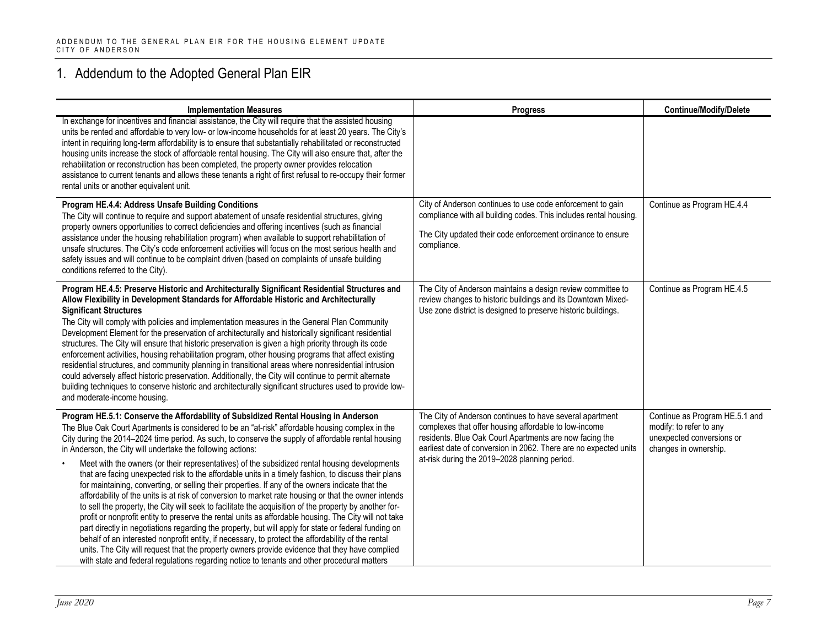| <b>Implementation Measures</b>                                                                                                                                                                                                                                                                                                                                                                                                                                                                                                                                                                                                                                                                                                                                                                                                                                                                                                                                                                                                                                                                                                                                                                                                                                                                                                                                                                                                   | <b>Progress</b>                                                                                                                                                                                                                                                                                   | <b>Continue/Modify/Delete</b>                                                                                   |
|----------------------------------------------------------------------------------------------------------------------------------------------------------------------------------------------------------------------------------------------------------------------------------------------------------------------------------------------------------------------------------------------------------------------------------------------------------------------------------------------------------------------------------------------------------------------------------------------------------------------------------------------------------------------------------------------------------------------------------------------------------------------------------------------------------------------------------------------------------------------------------------------------------------------------------------------------------------------------------------------------------------------------------------------------------------------------------------------------------------------------------------------------------------------------------------------------------------------------------------------------------------------------------------------------------------------------------------------------------------------------------------------------------------------------------|---------------------------------------------------------------------------------------------------------------------------------------------------------------------------------------------------------------------------------------------------------------------------------------------------|-----------------------------------------------------------------------------------------------------------------|
| In exchange for incentives and financial assistance, the City will require that the assisted housing<br>units be rented and affordable to very low- or low-income households for at least 20 years. The City's<br>intent in requiring long-term affordability is to ensure that substantially rehabilitated or reconstructed<br>housing units increase the stock of affordable rental housing. The City will also ensure that, after the<br>rehabilitation or reconstruction has been completed, the property owner provides relocation<br>assistance to current tenants and allows these tenants a right of first refusal to re-occupy their former<br>rental units or another equivalent unit.                                                                                                                                                                                                                                                                                                                                                                                                                                                                                                                                                                                                                                                                                                                                 |                                                                                                                                                                                                                                                                                                   |                                                                                                                 |
| Program HE.4.4: Address Unsafe Building Conditions<br>The City will continue to require and support abatement of unsafe residential structures, giving<br>property owners opportunities to correct deficiencies and offering incentives (such as financial<br>assistance under the housing rehabilitation program) when available to support rehabilitation of<br>unsafe structures. The City's code enforcement activities will focus on the most serious health and<br>safety issues and will continue to be complaint driven (based on complaints of unsafe building<br>conditions referred to the City).                                                                                                                                                                                                                                                                                                                                                                                                                                                                                                                                                                                                                                                                                                                                                                                                                     | City of Anderson continues to use code enforcement to gain<br>compliance with all building codes. This includes rental housing.<br>The City updated their code enforcement ordinance to ensure<br>compliance.                                                                                     | Continue as Program HE.4.4                                                                                      |
| Program HE.4.5: Preserve Historic and Architecturally Significant Residential Structures and<br>Allow Flexibility in Development Standards for Affordable Historic and Architecturally<br><b>Significant Structures</b><br>The City will comply with policies and implementation measures in the General Plan Community<br>Development Element for the preservation of architecturally and historically significant residential<br>structures. The City will ensure that historic preservation is given a high priority through its code<br>enforcement activities, housing rehabilitation program, other housing programs that affect existing<br>residential structures, and community planning in transitional areas where nonresidential intrusion<br>could adversely affect historic preservation. Additionally, the City will continue to permit alternate<br>building techniques to conserve historic and architecturally significant structures used to provide low-<br>and moderate-income housing.                                                                                                                                                                                                                                                                                                                                                                                                                     | The City of Anderson maintains a design review committee to<br>review changes to historic buildings and its Downtown Mixed-<br>Use zone district is designed to preserve historic buildings.                                                                                                      | Continue as Program HE.4.5                                                                                      |
| Program HE.5.1: Conserve the Affordability of Subsidized Rental Housing in Anderson<br>The Blue Oak Court Apartments is considered to be an "at-risk" affordable housing complex in the<br>City during the 2014-2024 time period. As such, to conserve the supply of affordable rental housing<br>in Anderson, the City will undertake the following actions:<br>Meet with the owners (or their representatives) of the subsidized rental housing developments<br>$\bullet$<br>that are facing unexpected risk to the affordable units in a timely fashion, to discuss their plans<br>for maintaining, converting, or selling their properties. If any of the owners indicate that the<br>affordability of the units is at risk of conversion to market rate housing or that the owner intends<br>to sell the property, the City will seek to facilitate the acquisition of the property by another for-<br>profit or nonprofit entity to preserve the rental units as affordable housing. The City will not take<br>part directly in negotiations regarding the property, but will apply for state or federal funding on<br>behalf of an interested nonprofit entity, if necessary, to protect the affordability of the rental<br>units. The City will request that the property owners provide evidence that they have complied<br>with state and federal regulations regarding notice to tenants and other procedural matters | The City of Anderson continues to have several apartment<br>complexes that offer housing affordable to low-income<br>residents. Blue Oak Court Apartments are now facing the<br>earliest date of conversion in 2062. There are no expected units<br>at-risk during the 2019-2028 planning period. | Continue as Program HE.5.1 and<br>modify: to refer to any<br>unexpected conversions or<br>changes in ownership. |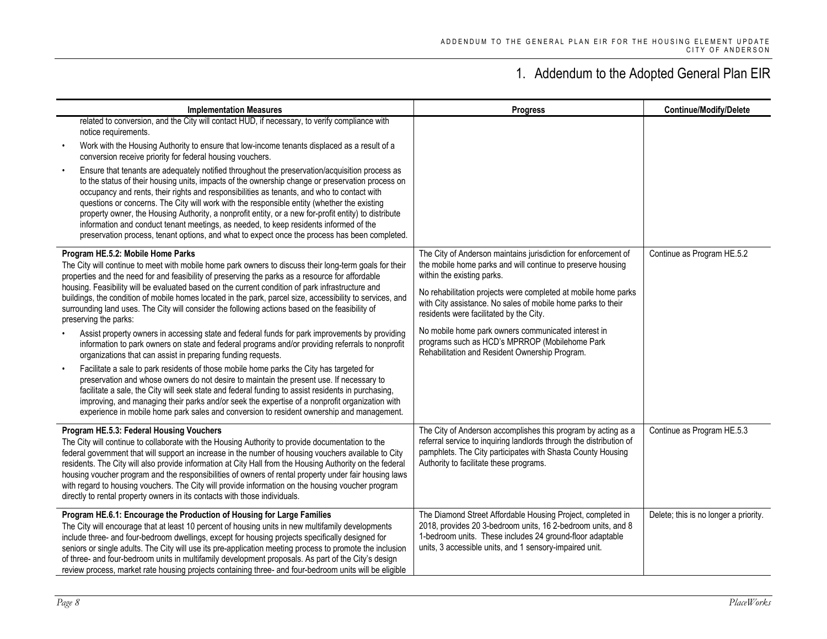| <b>Implementation Measures</b>                                                                                                                                                                                                                                                                                                                                                                                                                                                                                                                                                                                                                                                                                                                                                                                                                                                                                                                                                                                                                                                                                                                                                                                                                                                                                                                                               | <b>Progress</b>                                                                                                                                                                                                                                                                                                                                                                                                                                                                                     | <b>Continue/Modify/Delete</b>         |
|------------------------------------------------------------------------------------------------------------------------------------------------------------------------------------------------------------------------------------------------------------------------------------------------------------------------------------------------------------------------------------------------------------------------------------------------------------------------------------------------------------------------------------------------------------------------------------------------------------------------------------------------------------------------------------------------------------------------------------------------------------------------------------------------------------------------------------------------------------------------------------------------------------------------------------------------------------------------------------------------------------------------------------------------------------------------------------------------------------------------------------------------------------------------------------------------------------------------------------------------------------------------------------------------------------------------------------------------------------------------------|-----------------------------------------------------------------------------------------------------------------------------------------------------------------------------------------------------------------------------------------------------------------------------------------------------------------------------------------------------------------------------------------------------------------------------------------------------------------------------------------------------|---------------------------------------|
| related to conversion, and the City will contact HUD, if necessary, to verify compliance with<br>notice requirements.<br>Work with the Housing Authority to ensure that low-income tenants displaced as a result of a<br>$\bullet$<br>conversion receive priority for federal housing vouchers.<br>Ensure that tenants are adequately notified throughout the preservation/acquisition process as<br>$\bullet$<br>to the status of their housing units, impacts of the ownership change or preservation process on<br>occupancy and rents, their rights and responsibilities as tenants, and who to contact with<br>questions or concerns. The City will work with the responsible entity (whether the existing<br>property owner, the Housing Authority, a nonprofit entity, or a new for-profit entity) to distribute<br>information and conduct tenant meetings, as needed, to keep residents informed of the<br>preservation process, tenant options, and what to expect once the process has been completed.                                                                                                                                                                                                                                                                                                                                                            |                                                                                                                                                                                                                                                                                                                                                                                                                                                                                                     |                                       |
| Program HE.5.2: Mobile Home Parks<br>The City will continue to meet with mobile home park owners to discuss their long-term goals for their<br>properties and the need for and feasibility of preserving the parks as a resource for affordable<br>housing. Feasibility will be evaluated based on the current condition of park infrastructure and<br>buildings, the condition of mobile homes located in the park, parcel size, accessibility to services, and<br>surrounding land uses. The City will consider the following actions based on the feasibility of<br>preserving the parks:<br>Assist property owners in accessing state and federal funds for park improvements by providing<br>information to park owners on state and federal programs and/or providing referrals to nonprofit<br>organizations that can assist in preparing funding requests.<br>Facilitate a sale to park residents of those mobile home parks the City has targeted for<br>$\bullet$<br>preservation and whose owners do not desire to maintain the present use. If necessary to<br>facilitate a sale, the City will seek state and federal funding to assist residents in purchasing,<br>improving, and managing their parks and/or seek the expertise of a nonprofit organization with<br>experience in mobile home park sales and conversion to resident ownership and management. | The City of Anderson maintains jurisdiction for enforcement of<br>the mobile home parks and will continue to preserve housing<br>within the existing parks.<br>No rehabilitation projects were completed at mobile home parks<br>with City assistance. No sales of mobile home parks to their<br>residents were facilitated by the City.<br>No mobile home park owners communicated interest in<br>programs such as HCD's MPRROP (Mobilehome Park<br>Rehabilitation and Resident Ownership Program. | Continue as Program HE.5.2            |
| Program HE.5.3: Federal Housing Vouchers<br>The City will continue to collaborate with the Housing Authority to provide documentation to the<br>federal government that will support an increase in the number of housing vouchers available to City<br>residents. The City will also provide information at City Hall from the Housing Authority on the federal<br>housing voucher program and the responsibilities of owners of rental property under fair housing laws<br>with regard to housing vouchers. The City will provide information on the housing voucher program<br>directly to rental property owners in its contacts with those individuals.                                                                                                                                                                                                                                                                                                                                                                                                                                                                                                                                                                                                                                                                                                                 | The City of Anderson accomplishes this program by acting as a<br>referral service to inquiring landlords through the distribution of<br>pamphlets. The City participates with Shasta County Housing<br>Authority to facilitate these programs.                                                                                                                                                                                                                                                      | Continue as Program HE.5.3            |
| Program HE.6.1: Encourage the Production of Housing for Large Families<br>The City will encourage that at least 10 percent of housing units in new multifamily developments<br>include three- and four-bedroom dwellings, except for housing projects specifically designed for<br>seniors or single adults. The City will use its pre-application meeting process to promote the inclusion<br>of three- and four-bedroom units in multifamily development proposals. As part of the City's design<br>review process, market rate housing projects containing three- and four-bedroom units will be eligible                                                                                                                                                                                                                                                                                                                                                                                                                                                                                                                                                                                                                                                                                                                                                                 | The Diamond Street Affordable Housing Project, completed in<br>2018, provides 20 3-bedroom units, 16 2-bedroom units, and 8<br>1-bedroom units. These includes 24 ground-floor adaptable<br>units, 3 accessible units, and 1 sensory-impaired unit.                                                                                                                                                                                                                                                 | Delete; this is no longer a priority. |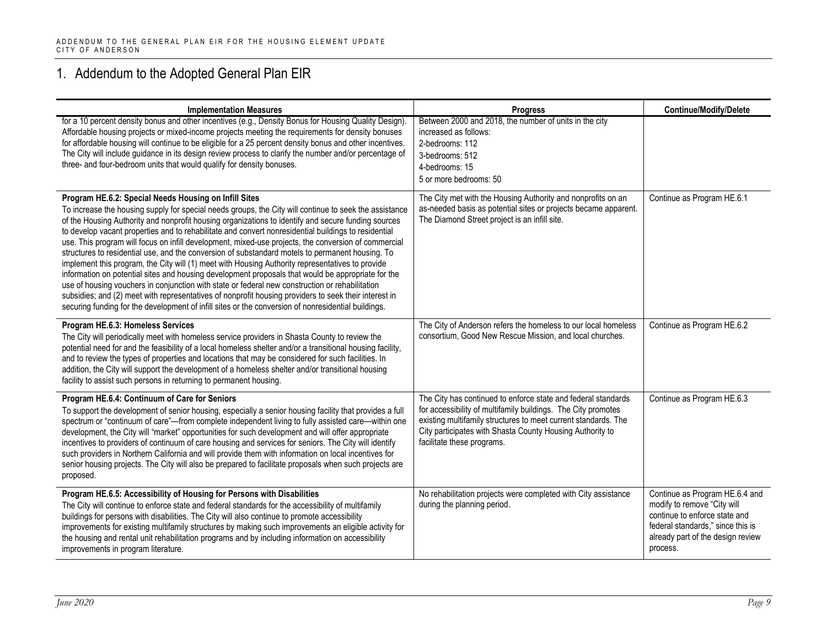| <b>Implementation Measures</b>                                                                                                                                                                                                                                                                                                                                                                                                                                                                                                                                                                                                                                                                                                                                                                                                                                                                                                                                                                                                                                                                                          | <b>Progress</b>                                                                                                                                                                                                                                                                             | <b>Continue/Modify/Delete</b>                                                                                                                                                        |
|-------------------------------------------------------------------------------------------------------------------------------------------------------------------------------------------------------------------------------------------------------------------------------------------------------------------------------------------------------------------------------------------------------------------------------------------------------------------------------------------------------------------------------------------------------------------------------------------------------------------------------------------------------------------------------------------------------------------------------------------------------------------------------------------------------------------------------------------------------------------------------------------------------------------------------------------------------------------------------------------------------------------------------------------------------------------------------------------------------------------------|---------------------------------------------------------------------------------------------------------------------------------------------------------------------------------------------------------------------------------------------------------------------------------------------|--------------------------------------------------------------------------------------------------------------------------------------------------------------------------------------|
| for a 10 percent density bonus and other incentives (e.g., Density Bonus for Housing Quality Design).<br>Affordable housing projects or mixed-income projects meeting the requirements for density bonuses<br>for affordable housing will continue to be eligible for a 25 percent density bonus and other incentives.<br>The City will include guidance in its design review process to clarify the number and/or percentage of<br>three- and four-bedroom units that would qualify for density bonuses.                                                                                                                                                                                                                                                                                                                                                                                                                                                                                                                                                                                                               | Between 2000 and 2018, the number of units in the city<br>increased as follows:<br>2-bedrooms: 112<br>3-bedrooms: 512<br>4-bedrooms: 15<br>5 or more bedrooms: 50                                                                                                                           |                                                                                                                                                                                      |
| Program HE.6.2: Special Needs Housing on Infill Sites<br>To increase the housing supply for special needs groups, the City will continue to seek the assistance<br>of the Housing Authority and nonprofit housing organizations to identify and secure funding sources<br>to develop vacant properties and to rehabilitate and convert nonresidential buildings to residential<br>use. This program will focus on infill development, mixed-use projects, the conversion of commercial<br>structures to residential use, and the conversion of substandard motels to permanent housing. To<br>implement this program, the City will (1) meet with Housing Authority representatives to provide<br>information on potential sites and housing development proposals that would be appropriate for the<br>use of housing vouchers in conjunction with state or federal new construction or rehabilitation<br>subsidies; and (2) meet with representatives of nonprofit housing providers to seek their interest in<br>securing funding for the development of infill sites or the conversion of nonresidential buildings. | The City met with the Housing Authority and nonprofits on an<br>as-needed basis as potential sites or projects became apparent.<br>The Diamond Street project is an infill site.                                                                                                            | Continue as Program HE.6.1                                                                                                                                                           |
| Program HE.6.3: Homeless Services<br>The City will periodically meet with homeless service providers in Shasta County to review the<br>potential need for and the feasibility of a local homeless shelter and/or a transitional housing facility,<br>and to review the types of properties and locations that may be considered for such facilities. In<br>addition, the City will support the development of a homeless shelter and/or transitional housing<br>facility to assist such persons in returning to permanent housing.                                                                                                                                                                                                                                                                                                                                                                                                                                                                                                                                                                                      | The City of Anderson refers the homeless to our local homeless<br>consortium, Good New Rescue Mission, and local churches.                                                                                                                                                                  | Continue as Program HE.6.2                                                                                                                                                           |
| Program HE.6.4: Continuum of Care for Seniors<br>To support the development of senior housing, especially a senior housing facility that provides a full<br>spectrum or "continuum of care"—from complete independent living to fully assisted care—within one<br>development, the City will "market" opportunities for such development and will offer appropriate<br>incentives to providers of continuum of care housing and services for seniors. The City will identify<br>such providers in Northern California and will provide them with information on local incentives for<br>senior housing projects. The City will also be prepared to facilitate proposals when such projects are<br>proposed.                                                                                                                                                                                                                                                                                                                                                                                                             | The City has continued to enforce state and federal standards<br>for accessibility of multifamily buildings. The City promotes<br>existing multifamily structures to meet current standards. The<br>City participates with Shasta County Housing Authority to<br>facilitate these programs. | Continue as Program HE.6.3                                                                                                                                                           |
| Program HE.6.5: Accessibility of Housing for Persons with Disabilities<br>The City will continue to enforce state and federal standards for the accessibility of multifamily<br>buildings for persons with disabilities. The City will also continue to promote accessibility<br>improvements for existing multifamily structures by making such improvements an eligible activity for<br>the housing and rental unit rehabilitation programs and by including information on accessibility<br>improvements in program literature.                                                                                                                                                                                                                                                                                                                                                                                                                                                                                                                                                                                      | No rehabilitation projects were completed with City assistance<br>during the planning period.                                                                                                                                                                                               | Continue as Program HE.6.4 and<br>modify to remove "City will<br>continue to enforce state and<br>federal standards," since this is<br>already part of the design review<br>process. |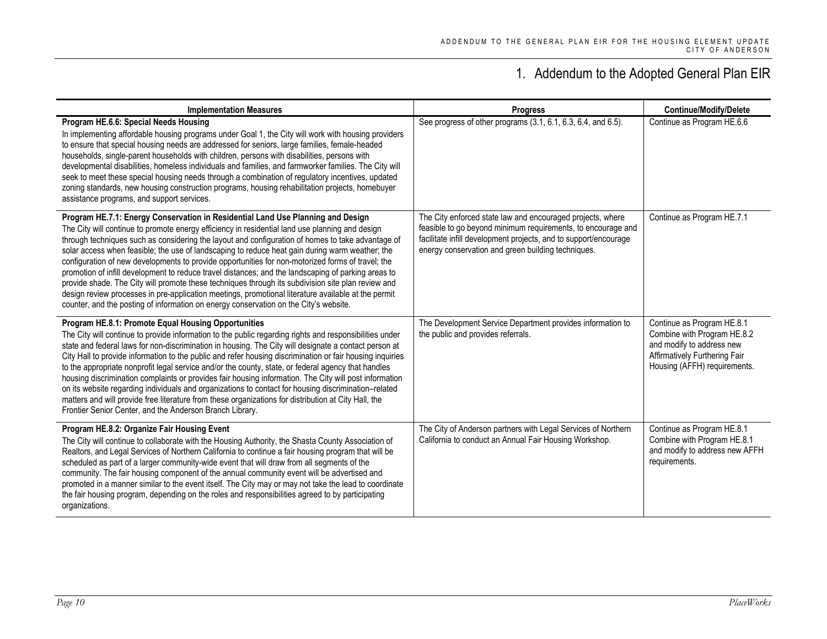| <b>Implementation Measures</b>                                                                                                                                                                                                                                                                                                                                                                                                                                                                                                                                                                                                                                                                                                                                                                                                                                                                               | <b>Progress</b>                                                                                                                                                                                                                                      | <b>Continue/Modify/Delete</b>                                                                                                                           |
|--------------------------------------------------------------------------------------------------------------------------------------------------------------------------------------------------------------------------------------------------------------------------------------------------------------------------------------------------------------------------------------------------------------------------------------------------------------------------------------------------------------------------------------------------------------------------------------------------------------------------------------------------------------------------------------------------------------------------------------------------------------------------------------------------------------------------------------------------------------------------------------------------------------|------------------------------------------------------------------------------------------------------------------------------------------------------------------------------------------------------------------------------------------------------|---------------------------------------------------------------------------------------------------------------------------------------------------------|
| Program HE.6.6: Special Needs Housing<br>In implementing affordable housing programs under Goal 1, the City will work with housing providers<br>to ensure that special housing needs are addressed for seniors, large families, female-headed<br>households, single-parent households with children, persons with disabilities, persons with<br>developmental disabilities, homeless individuals and families, and farmworker families. The City will<br>seek to meet these special housing needs through a combination of regulatory incentives, updated<br>zoning standards, new housing construction programs, housing rehabilitation projects, homebuyer<br>assistance programs, and support services.                                                                                                                                                                                                   | See progress of other programs (3.1, 6.1, 6.3, 6.4, and 6.5).                                                                                                                                                                                        | Continue as Program HE.6.6                                                                                                                              |
| Program HE.7.1: Energy Conservation in Residential Land Use Planning and Design<br>The City will continue to promote energy efficiency in residential land use planning and design<br>through techniques such as considering the layout and configuration of homes to take advantage of<br>solar access when feasible; the use of landscaping to reduce heat gain during warm weather; the<br>configuration of new developments to provide opportunities for non-motorized forms of travel; the<br>promotion of infill development to reduce travel distances; and the landscaping of parking areas to<br>provide shade. The City will promote these techniques through its subdivision site plan review and<br>design review processes in pre-application meetings, promotional literature available at the permit<br>counter, and the posting of information on energy conservation on the City's website. | The City enforced state law and encouraged projects, where<br>feasible to go beyond minimum requirements, to encourage and<br>facilitate infill development projects, and to support/encourage<br>energy conservation and green building techniques. | Continue as Program HE.7.1                                                                                                                              |
| Program HE.8.1: Promote Equal Housing Opportunities<br>The City will continue to provide information to the public regarding rights and responsibilities under<br>state and federal laws for non-discrimination in housing. The City will designate a contact person at<br>City Hall to provide information to the public and refer housing discrimination or fair housing inquiries<br>to the appropriate nonprofit legal service and/or the county, state, or federal agency that handles<br>housing discrimination complaints or provides fair housing information. The City will post information<br>on its website regarding individuals and organizations to contact for housing discrimination-related<br>matters and will provide free literature from these organizations for distribution at City Hall, the<br>Frontier Senior Center, and the Anderson Branch Library.                            | The Development Service Department provides information to<br>the public and provides referrals.                                                                                                                                                     | Continue as Program HE.8.1<br>Combine with Program HE.8.2<br>and modify to address new<br>Affirmatively Furthering Fair<br>Housing (AFFH) requirements. |
| Program HE.8.2: Organize Fair Housing Event<br>The City will continue to collaborate with the Housing Authority, the Shasta County Association of<br>Realtors, and Legal Services of Northern California to continue a fair housing program that will be<br>scheduled as part of a larger community-wide event that will draw from all segments of the<br>community. The fair housing component of the annual community event will be advertised and<br>promoted in a manner similar to the event itself. The City may or may not take the lead to coordinate<br>the fair housing program, depending on the roles and responsibilities agreed to by participating<br>organizations.                                                                                                                                                                                                                          | The City of Anderson partners with Legal Services of Northern<br>California to conduct an Annual Fair Housing Workshop.                                                                                                                              | Continue as Program HE.8.1<br>Combine with Program HE.8.1<br>and modify to address new AFFH<br>requirements.                                            |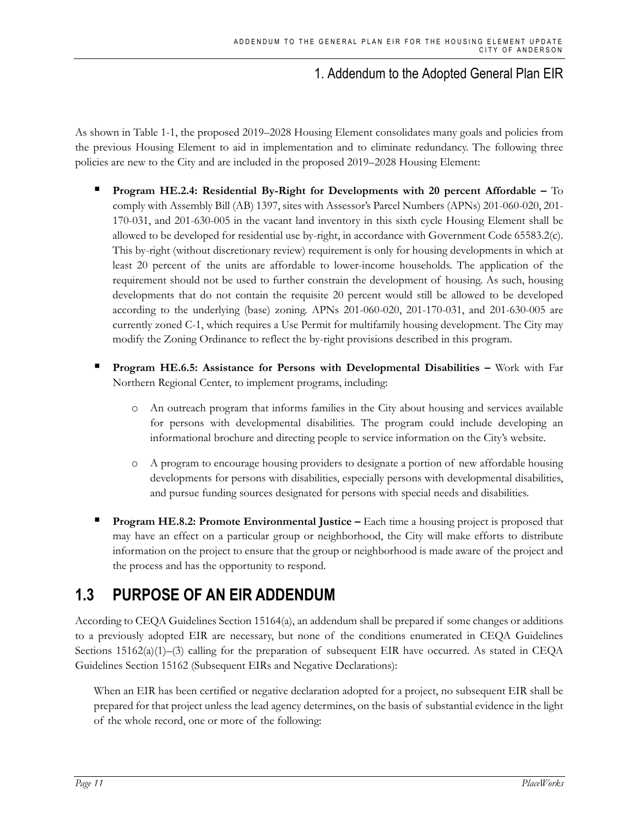As shown in Table 1-1, the proposed 2019–2028 Housing Element consolidates many goals and policies from the previous Housing Element to aid in implementation and to eliminate redundancy. The following three policies are new to the City and are included in the proposed 2019–2028 Housing Element:

- **Program HE.2.4: Residential By-Right for Developments with 20 percent Affordable –** To comply with Assembly Bill (AB) 1397, sites with Assessor's Parcel Numbers (APNs) 201-060-020, 201- 170-031, and 201-630-005 in the vacant land inventory in this sixth cycle Housing Element shall be allowed to be developed for residential use by-right, in accordance with Government Code 65583.2(c). This by-right (without discretionary review) requirement is only for housing developments in which at least 20 percent of the units are affordable to lower-income households. The application of the requirement should not be used to further constrain the development of housing. As such, housing developments that do not contain the requisite 20 percent would still be allowed to be developed according to the underlying (base) zoning. APNs 201-060-020, 201-170-031, and 201-630-005 are currently zoned C-1, which requires a Use Permit for multifamily housing development. The City may modify the Zoning Ordinance to reflect the by-right provisions described in this program.
- **Program HE.6.5: Assistance for Persons with Developmental Disabilities –** Work with Far Northern Regional Center, to implement programs, including:
	- o An outreach program that informs families in the City about housing and services available for persons with developmental disabilities. The program could include developing an informational brochure and directing people to service information on the City's website.
	- o A program to encourage housing providers to designate a portion of new affordable housing developments for persons with disabilities, especially persons with developmental disabilities, and pursue funding sources designated for persons with special needs and disabilities.
- **Program HE.8.2: Promote Environmental Justice –** Each time a housing project is proposed that may have an effect on a particular group or neighborhood, the City will make efforts to distribute information on the project to ensure that the group or neighborhood is made aware of the project and the process and has the opportunity to respond.

# **1.3 PURPOSE OF AN EIR ADDENDUM**

According to CEQA Guidelines Section 15164(a), an addendum shall be prepared if some changes or additions to a previously adopted EIR are necessary, but none of the conditions enumerated in CEQA Guidelines Sections 15162(a)(1)–(3) calling for the preparation of subsequent EIR have occurred. As stated in CEQA Guidelines Section 15162 (Subsequent EIRs and Negative Declarations):

When an EIR has been certified or negative declaration adopted for a project, no subsequent EIR shall be prepared for that project unless the lead agency determines, on the basis of substantial evidence in the light of the whole record, one or more of the following: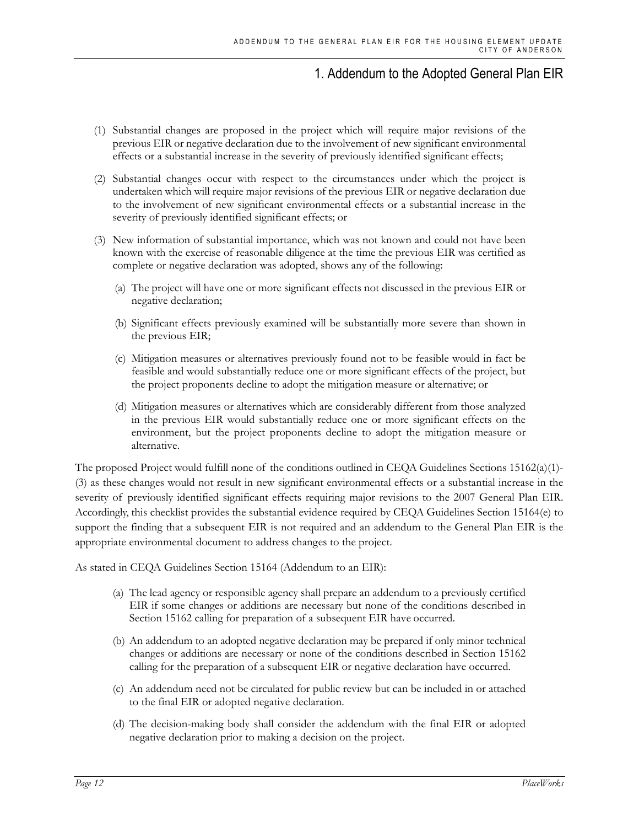- (1) Substantial changes are proposed in the project which will require major revisions of the previous EIR or negative declaration due to the involvement of new significant environmental effects or a substantial increase in the severity of previously identified significant effects;
- (2) Substantial changes occur with respect to the circumstances under which the project is undertaken which will require major revisions of the previous EIR or negative declaration due to the involvement of new significant environmental effects or a substantial increase in the severity of previously identified significant effects; or
- (3) New information of substantial importance, which was not known and could not have been known with the exercise of reasonable diligence at the time the previous EIR was certified as complete or negative declaration was adopted, shows any of the following:
	- (a) The project will have one or more significant effects not discussed in the previous EIR or negative declaration;
	- (b) Significant effects previously examined will be substantially more severe than shown in the previous EIR;
	- (c) Mitigation measures or alternatives previously found not to be feasible would in fact be feasible and would substantially reduce one or more significant effects of the project, but the project proponents decline to adopt the mitigation measure or alternative; or
	- (d) Mitigation measures or alternatives which are considerably different from those analyzed in the previous EIR would substantially reduce one or more significant effects on the environment, but the project proponents decline to adopt the mitigation measure or alternative.

The proposed Project would fulfill none of the conditions outlined in CEQA Guidelines Sections 15162(a)(1)- (3) as these changes would not result in new significant environmental effects or a substantial increase in the severity of previously identified significant effects requiring major revisions to the 2007 General Plan EIR. Accordingly, this checklist provides the substantial evidence required by CEQA Guidelines Section 15164(e) to support the finding that a subsequent EIR is not required and an addendum to the General Plan EIR is the appropriate environmental document to address changes to the project.

As stated in CEQA Guidelines Section 15164 (Addendum to an EIR):

- (a) The lead agency or responsible agency shall prepare an addendum to a previously certified EIR if some changes or additions are necessary but none of the conditions described in Section 15162 calling for preparation of a subsequent EIR have occurred.
- (b) An addendum to an adopted negative declaration may be prepared if only minor technical changes or additions are necessary or none of the conditions described in Section 15162 calling for the preparation of a subsequent EIR or negative declaration have occurred.
- (c) An addendum need not be circulated for public review but can be included in or attached to the final EIR or adopted negative declaration.
- (d) The decision-making body shall consider the addendum with the final EIR or adopted negative declaration prior to making a decision on the project.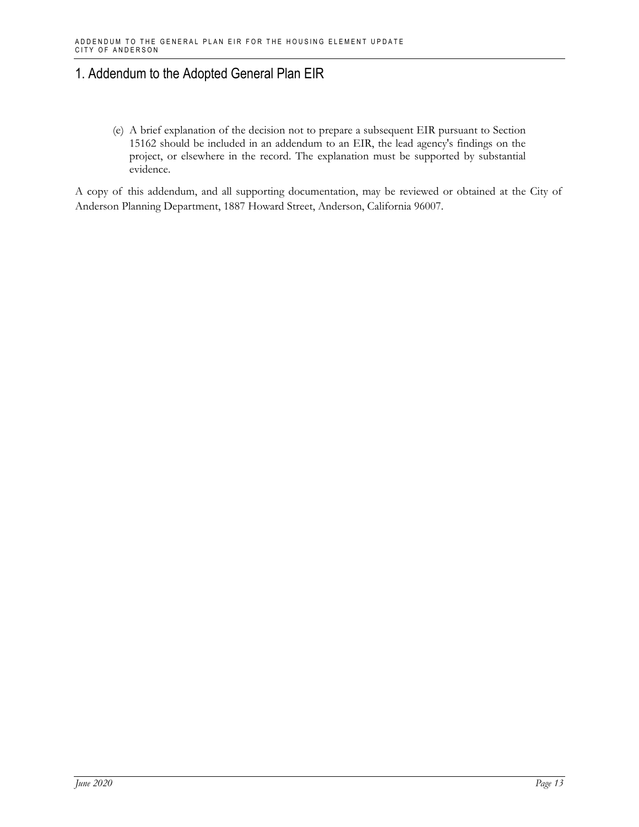(e) A brief explanation of the decision not to prepare a subsequent EIR pursuant to Section 15162 should be included in an addendum to an EIR, the lead agency's findings on the project, or elsewhere in the record. The explanation must be supported by substantial evidence.

A copy of this addendum, and all supporting documentation, may be reviewed or obtained at the City of Anderson Planning Department, 1887 Howard Street, Anderson, California 96007.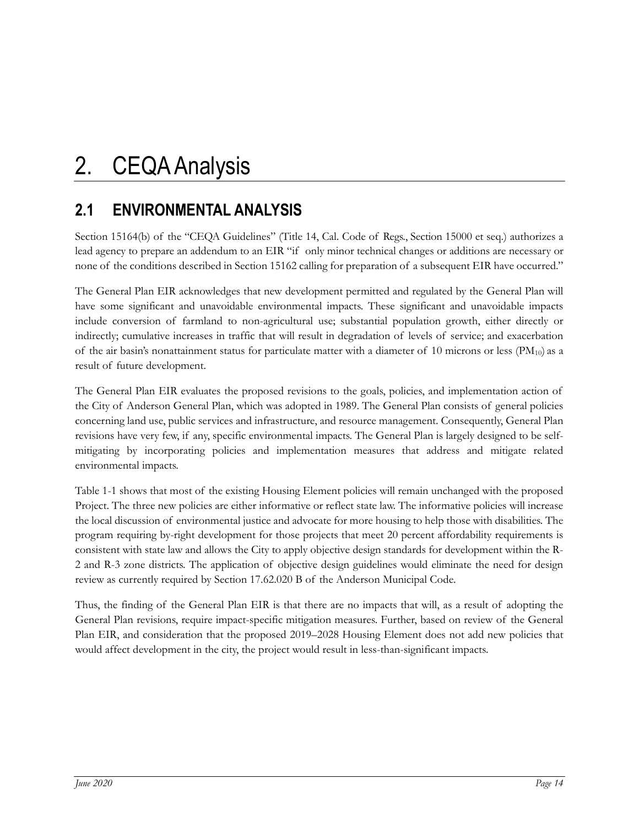# **2.1 ENVIRONMENTAL ANALYSIS**

Section 15164(b) of the "CEQA Guidelines" (Title 14, Cal. Code of Regs., Section 15000 et seq.) authorizes a lead agency to prepare an addendum to an EIR "if only minor technical changes or additions are necessary or none of the conditions described in Section 15162 calling for preparation of a subsequent EIR have occurred."

The General Plan EIR acknowledges that new development permitted and regulated by the General Plan will have some significant and unavoidable environmental impacts. These significant and unavoidable impacts include conversion of farmland to non-agricultural use; substantial population growth, either directly or indirectly; cumulative increases in traffic that will result in degradation of levels of service; and exacerbation of the air basin's nonattainment status for particulate matter with a diameter of 10 microns or less ( $\text{PM}_{10}$ ) as a result of future development.

The General Plan EIR evaluates the proposed revisions to the goals, policies, and implementation action of the City of Anderson General Plan, which was adopted in 1989. The General Plan consists of general policies concerning land use, public services and infrastructure, and resource management. Consequently, General Plan revisions have very few, if any, specific environmental impacts. The General Plan is largely designed to be selfmitigating by incorporating policies and implementation measures that address and mitigate related environmental impacts.

Table 1-1 shows that most of the existing Housing Element policies will remain unchanged with the proposed Project. The three new policies are either informative or reflect state law. The informative policies will increase the local discussion of environmental justice and advocate for more housing to help those with disabilities. The program requiring by-right development for those projects that meet 20 percent affordability requirements is consistent with state law and allows the City to apply objective design standards for development within the R-2 and R-3 zone districts. The application of objective design guidelines would eliminate the need for design review as currently required by Section 17.62.020 B of the Anderson Municipal Code.

Thus, the finding of the General Plan EIR is that there are no impacts that will, as a result of adopting the General Plan revisions, require impact-specific mitigation measures. Further, based on review of the General Plan EIR, and consideration that the proposed 2019–2028 Housing Element does not add new policies that would affect development in the city, the project would result in less-than-significant impacts.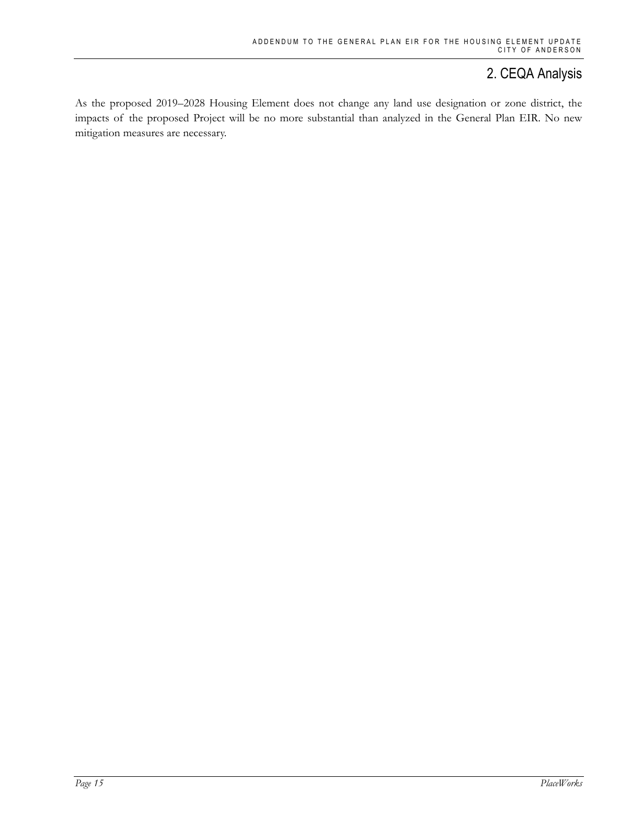As the proposed 2019–2028 Housing Element does not change any land use designation or zone district, the impacts of the proposed Project will be no more substantial than analyzed in the General Plan EIR. No new mitigation measures are necessary.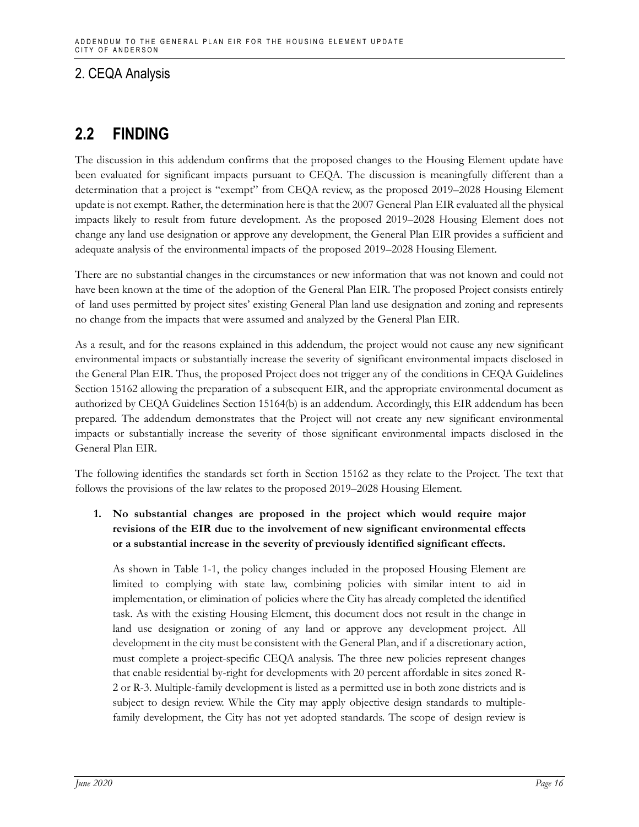## **2.2 FINDING**

The discussion in this addendum confirms that the proposed changes to the Housing Element update have been evaluated for significant impacts pursuant to CEQA. The discussion is meaningfully different than a determination that a project is "exempt" from CEQA review, as the proposed 2019–2028 Housing Element update is not exempt. Rather, the determination here is that the 2007 General Plan EIR evaluated all the physical impacts likely to result from future development. As the proposed 2019–2028 Housing Element does not change any land use designation or approve any development, the General Plan EIR provides a sufficient and adequate analysis of the environmental impacts of the proposed 2019–2028 Housing Element.

There are no substantial changes in the circumstances or new information that was not known and could not have been known at the time of the adoption of the General Plan EIR. The proposed Project consists entirely of land uses permitted by project sites' existing General Plan land use designation and zoning and represents no change from the impacts that were assumed and analyzed by the General Plan EIR.

As a result, and for the reasons explained in this addendum, the project would not cause any new significant environmental impacts or substantially increase the severity of significant environmental impacts disclosed in the General Plan EIR. Thus, the proposed Project does not trigger any of the conditions in CEQA Guidelines Section 15162 allowing the preparation of a subsequent EIR, and the appropriate environmental document as authorized by CEQA Guidelines Section 15164(b) is an addendum. Accordingly, this EIR addendum has been prepared. The addendum demonstrates that the Project will not create any new significant environmental impacts or substantially increase the severity of those significant environmental impacts disclosed in the General Plan EIR.

The following identifies the standards set forth in Section 15162 as they relate to the Project. The text that follows the provisions of the law relates to the proposed 2019–2028 Housing Element.

**1. No substantial changes are proposed in the project which would require major revisions of the EIR due to the involvement of new significant environmental effects or a substantial increase in the severity of previously identified significant effects.**

As shown in Table 1-1, the policy changes included in the proposed Housing Element are limited to complying with state law, combining policies with similar intent to aid in implementation, or elimination of policies where the City has already completed the identified task. As with the existing Housing Element, this document does not result in the change in land use designation or zoning of any land or approve any development project. All development in the city must be consistent with the General Plan, and if a discretionary action, must complete a project-specific CEQA analysis. The three new policies represent changes that enable residential by-right for developments with 20 percent affordable in sites zoned R-2 or R-3. Multiple-family development is listed as a permitted use in both zone districts and is subject to design review. While the City may apply objective design standards to multiplefamily development, the City has not yet adopted standards. The scope of design review is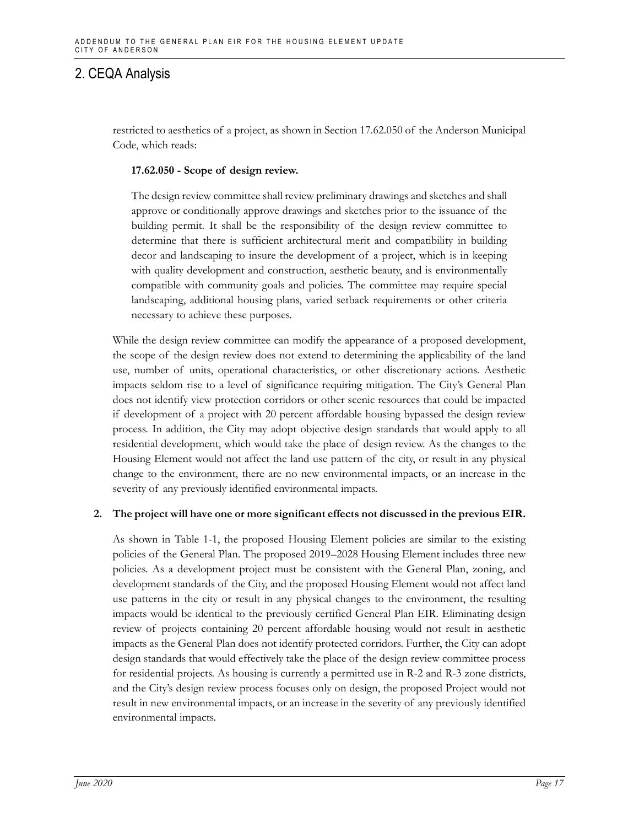restricted to aesthetics of a project, as shown in Section 17.62.050 of the Anderson Municipal Code, which reads:

#### **17.62.050 - Scope of design review.**

The design review committee shall review preliminary drawings and sketches and shall approve or conditionally approve drawings and sketches prior to the issuance of the building permit. It shall be the responsibility of the design review committee to determine that there is sufficient architectural merit and compatibility in building decor and landscaping to insure the development of a project, which is in keeping with quality development and construction, aesthetic beauty, and is environmentally compatible with community goals and policies. The committee may require special landscaping, additional housing plans, varied setback requirements or other criteria necessary to achieve these purposes.

While the design review committee can modify the appearance of a proposed development, the scope of the design review does not extend to determining the applicability of the land use, number of units, operational characteristics, or other discretionary actions. Aesthetic impacts seldom rise to a level of significance requiring mitigation. The City's General Plan does not identify view protection corridors or other scenic resources that could be impacted if development of a project with 20 percent affordable housing bypassed the design review process. In addition, the City may adopt objective design standards that would apply to all residential development, which would take the place of design review. As the changes to the Housing Element would not affect the land use pattern of the city, or result in any physical change to the environment, there are no new environmental impacts, or an increase in the severity of any previously identified environmental impacts.

#### **2. The project will have one or more significant effects not discussed in the previous EIR.**

As shown in Table 1-1, the proposed Housing Element policies are similar to the existing policies of the General Plan. The proposed 2019–2028 Housing Element includes three new policies. As a development project must be consistent with the General Plan, zoning, and development standards of the City, and the proposed Housing Element would not affect land use patterns in the city or result in any physical changes to the environment, the resulting impacts would be identical to the previously certified General Plan EIR. Eliminating design review of projects containing 20 percent affordable housing would not result in aesthetic impacts as the General Plan does not identify protected corridors. Further, the City can adopt design standards that would effectively take the place of the design review committee process for residential projects. As housing is currently a permitted use in R-2 and R-3 zone districts, and the City's design review process focuses only on design, the proposed Project would not result in new environmental impacts, or an increase in the severity of any previously identified environmental impacts.